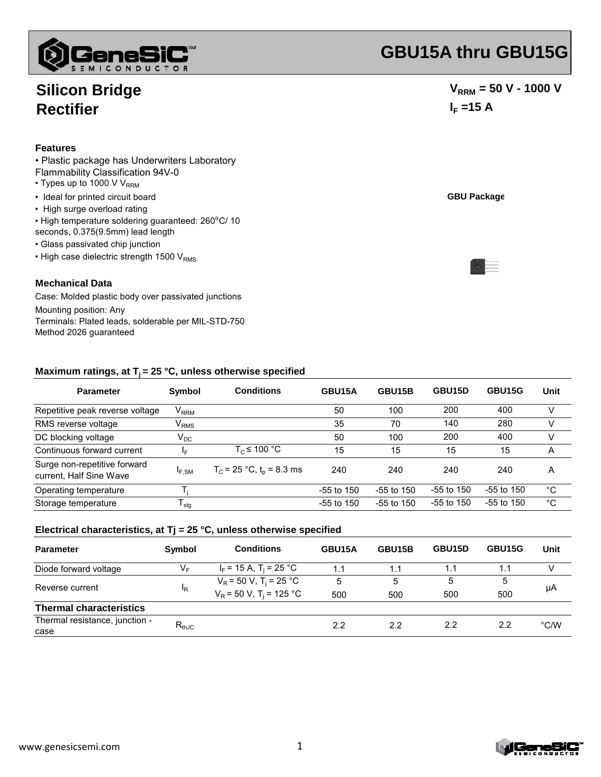

## **Silicon Bridge Rectifier**

#### **Features**

#### • Plastic package has Underwriters Laboratory Flammability Classification 94V-0

- $\cdot$  Types up to 1000 V V<sub>RRM</sub>
- Ideal for printed circuit board
- High surge overload rating
- High temperature soldering guaranteed: 260°C/ 10
- seconds, 0.375(9.5mm) lead length
- Glass passivated chip junction
- $\cdot$  High case dielectric strength 1500 V<sub>RMS</sub>

#### **Mechanical Data**

Case: Molded plastic body over passivated junctions Mounting position: Any Terminals: Plated leads, solderable per MIL-STD-750 Method 2026 guaranteed

# **GBU15A thru GBU15G**

 $-1$ 

### $V_{RRM}$  = 50 V - 1000 V  $I_F = 15 A$

|  | <b>GBU Package</b> |
|--|--------------------|
|  |                    |

| <b>Parameter</b>                                        | Symbol                      | <b>Conditions</b>                      | GBU15A       | GBU15B       | GBU15D       | GBU15G       | Unit |
|---------------------------------------------------------|-----------------------------|----------------------------------------|--------------|--------------|--------------|--------------|------|
| Repetitive peak reverse voltage                         | $V_{RRM}$                   |                                        | 50           | 100          | 200          | 400          | v    |
| RMS reverse voltage                                     | $\mathsf{V}_{\mathsf{RMS}}$ |                                        | 35           | 70           | 140          | 280          | v    |
| DC blocking voltage                                     | $V_{DC}$                    |                                        | 50           | 100          | 200          | 400          | v    |
| Continuous forward current                              | IF.                         | $T_c \leq 100 °C$                      | 15           | 15           | 15           | 15           | A    |
| Surge non-repetitive forward<br>current, Half Sine Wave | $I_{F,SM}$                  | $T_c$ = 25 °C, t <sub>p</sub> = 8.3 ms | 240          | 240          | 240          | 240          | A    |
| Operating temperature                                   |                             |                                        | $-55$ to 150 | $-55$ to 150 | $-55$ to 150 | $-55$ to 150 | °C   |
| Storage temperature                                     | l stg                       |                                        | $-55$ to 150 | $-55$ to 150 | $-55$ to 150 | $-55$ to 150 | °C   |

#### **Electrical characteristics, at Tj = 25 °C, unless otherwise specified**

| <b>Parameter</b>               | Symbol         | Conditions                            | GBU15A | GBU15B | GBU15D | GBU15G | Unit          |
|--------------------------------|----------------|---------------------------------------|--------|--------|--------|--------|---------------|
| Diode forward voltage          | V⊧             | $I_F$ = 15 A, T <sub>i</sub> = 25 °C  | 1.1    | 1.1    | 1.1    | 1.1    |               |
| Reverse current                | <sup>I</sup> R | $V_R$ = 50 V, T <sub>i</sub> = 25 °C  | 5      | 5      | 5      | 5      | μA            |
|                                |                | $V_R$ = 50 V, T <sub>i</sub> = 125 °C | 500    | 500    | 500    | 500    |               |
| <b>Thermal characteristics</b> |                |                                       |        |        |        |        |               |
| Thermal resistance, junction - | $R_{thJC}$     |                                       | 2.2    | 2.2    | 2.2    | 2.2    | $\degree$ C/W |
| case                           |                |                                       |        |        |        |        |               |